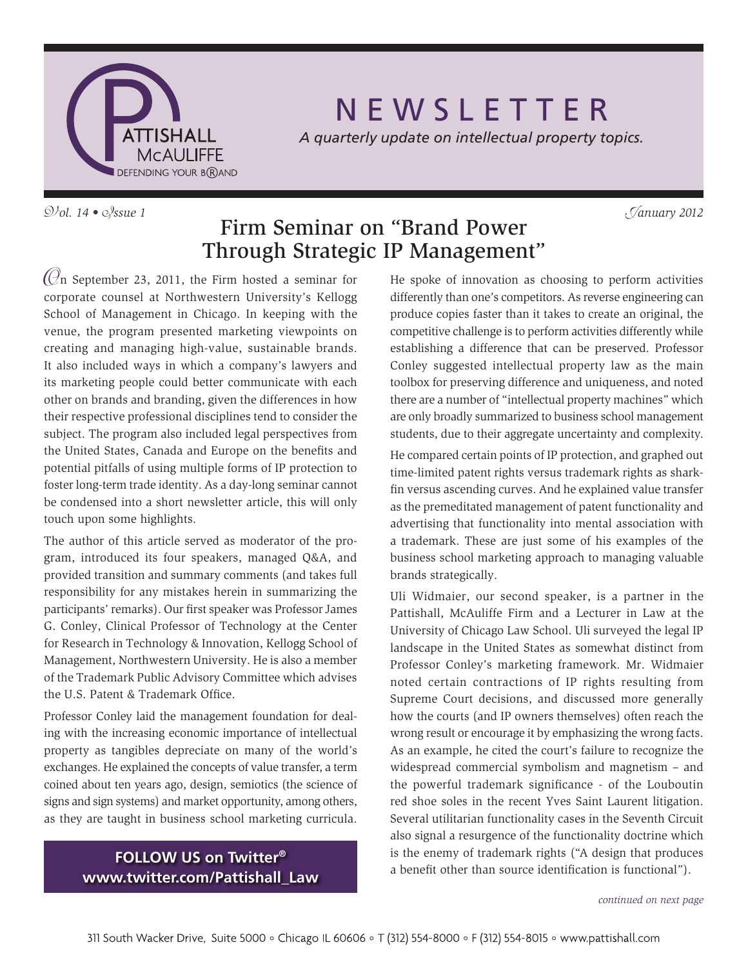

# N E W S L E T T E R

*A quarterly update on intellectual property topics.*

V*ol. 14 •* I*ssue 1* J*anuary 2012*

## Firm Seminar on "Brand Power Through Strategic IP Management"

 $(\mathcal{O}_n)$  September 23, 2011, the Firm hosted a seminar for corporate counsel at Northwestern University's Kellogg School of Management in Chicago. In keeping with the venue, the program presented marketing viewpoints on creating and managing high-value, sustainable brands. It also included ways in which a company's lawyers and its marketing people could better communicate with each other on brands and branding, given the differences in how their respective professional disciplines tend to consider the subject. The program also included legal perspectives from the United States, Canada and Europe on the benefits and potential pitfalls of using multiple forms of IP protection to foster long-term trade identity. As a day-long seminar cannot be condensed into a short newsletter article, this will only touch upon some highlights.

The author of this article served as moderator of the program, introduced its four speakers, managed Q&A, and provided transition and summary comments (and takes full responsibility for any mistakes herein in summarizing the participants' remarks). Our first speaker was Professor James G. Conley, Clinical Professor of Technology at the Center for Research in Technology & Innovation, Kellogg School of Management, Northwestern University. He is also a member of the Trademark Public Advisory Committee which advises the U.S. Patent & Trademark Office.

Professor Conley laid the management foundation for dealing with the increasing economic importance of intellectual property as tangibles depreciate on many of the world's exchanges. He explained the concepts of value transfer, a term coined about ten years ago, design, semiotics (the science of signs and sign systems) and market opportunity, among others, as they are taught in business school marketing curricula.

> **FOLLOW US on Twitter® [www.twitter.com/Pattishall\\_Law](www.twitter.com/Pattishall_Law)**

He spoke of innovation as choosing to perform activities differently than one's competitors. As reverse engineering can produce copies faster than it takes to create an original, the competitive challenge is to perform activities differently while establishing a difference that can be preserved. Professor Conley suggested intellectual property law as the main toolbox for preserving difference and uniqueness, and noted there are a number of "intellectual property machines" which are only broadly summarized to business school management students, due to their aggregate uncertainty and complexity.

He compared certain points of IP protection, and graphed out time-limited patent rights versus trademark rights as sharkfin versus ascending curves. And he explained value transfer as the premeditated management of patent functionality and advertising that functionality into mental association with a trademark. These are just some of his examples of the business school marketing approach to managing valuable brands strategically.

Uli Widmaier, our second speaker, is a partner in the Pattishall, McAuliffe Firm and a Lecturer in Law at the University of Chicago Law School. Uli surveyed the legal IP landscape in the United States as somewhat distinct from Professor Conley's marketing framework. Mr. Widmaier noted certain contractions of IP rights resulting from Supreme Court decisions, and discussed more generally how the courts (and IP owners themselves) often reach the wrong result or encourage it by emphasizing the wrong facts. As an example, he cited the court's failure to recognize the widespread commercial symbolism and magnetism – and the powerful trademark significance - of the Louboutin red shoe soles in the recent Yves Saint Laurent litigation. Several utilitarian functionality cases in the Seventh Circuit also signal a resurgence of the functionality doctrine which is the enemy of trademark rights ("A design that produces a benefit other than source identification is functional").

*continued on next page*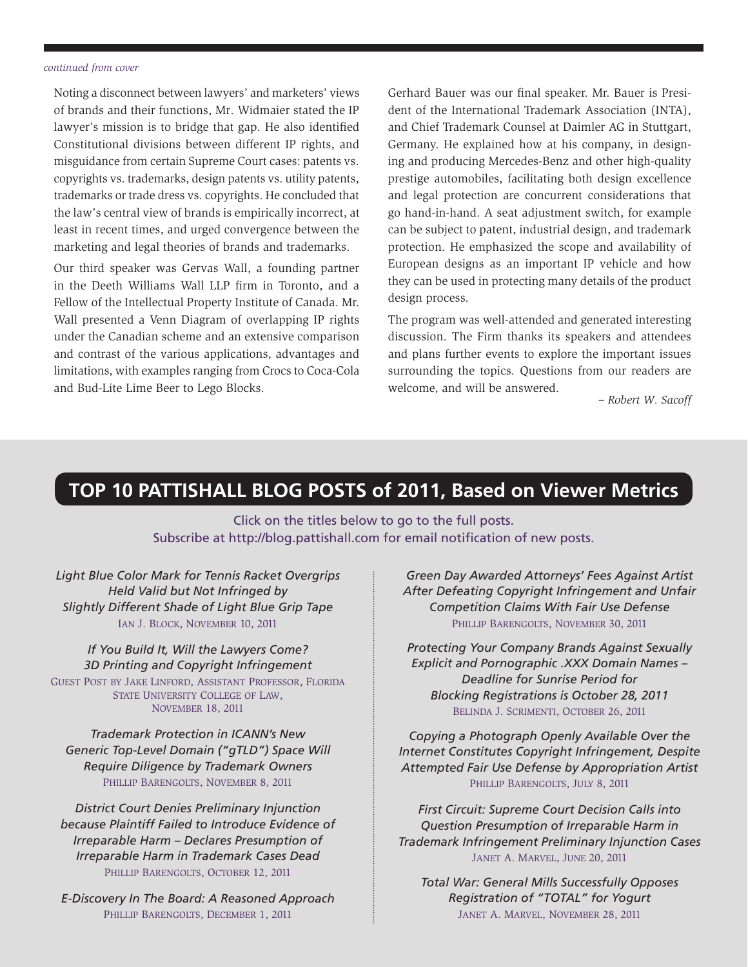#### *continued from cover*

Noting a disconnect between lawyers' and marketers' views of brands and their functions, Mr. Widmaier stated the IP lawyer's mission is to bridge that gap. He also identified Constitutional divisions between different IP rights, and misguidance from certain Supreme Court cases: patents vs. copyrights vs. trademarks, design patents vs. utility patents, trademarks or trade dress vs. copyrights. He concluded that the law's central view of brands is empirically incorrect, at least in recent times, and urged convergence between the marketing and legal theories of brands and trademarks.

Our third speaker was Gervas Wall, a founding partner in the Deeth Williams Wall LLP firm in Toronto, and a Fellow of the Intellectual Property Institute of Canada. Mr. Wall presented a Venn Diagram of overlapping IP rights under the Canadian scheme and an extensive comparison and contrast of the various applications, advantages and limitations, with examples ranging from Crocs to Coca-Cola and Bud-Lite Lime Beer to Lego Blocks.

Gerhard Bauer was our final speaker. Mr. Bauer is President of the International Trademark Association (INTA), and Chief Trademark Counsel at Daimler AG in Stuttgart, Germany. He explained how at his company, in designing and producing Mercedes-Benz and other high-quality prestige automobiles, facilitating both design excellence and legal protection are concurrent considerations that go hand-in-hand. A seat adjustment switch, for example can be subject to patent, industrial design, and trademark protection. He emphasized the scope and availability of European designs as an important IP vehicle and how they can be used in protecting many details of the product design process.

The program was well-attended and generated interesting discussion. The Firm thanks its speakers and attendees and plans further events to explore the important issues surrounding the topics. Questions from our readers are welcome, and will be answered.

*[– Robert W. Sacoff](http://www.pattishall.com/ourteam/RobertWSacoff-107.aspx)*

### **TOP 10 PATTISHALL BLOG POSTS of 2011, Based on Viewer Metrics**

Click on the titles below to go to the full posts. Subscribe at<http://blog.pattishall.com>for email notification of new posts.

*[Light Blue Color Mark for Tennis Racket Overgrips](http://blog.pattishall.com/2011/11/10/light-blue-color-mark-for-tennis-racket-overgrips-held-valid-but-not-infringed-by-slightly-different-shade-of-light-blue-grip-tape/)  Held Valid but Not Infringed by Slightly Different Shade of Light Blue Grip Tape* Ian J. Block, November 10, 2011

*[If You Build It, Will the Lawyers Come?](http://blog.pattishall.com/2011/11/18/if-you-build-it-will-the-lawyers-come-3d-printing-and-copyright-infringement/)  3D Printing and Copyright Infringement* Guest Post by Jake Linford, Assistant Professor, Florida STATE UNIVERSITY COLLEGE OF LAW, November 18, 2011

*Trademark Protection in ICANN's New [Generic Top-Level Domain \("gTLD"\) Space Will](http://blog.pattishall.com/2011/11/08/trademark-protection-in-icann%E2%80%99s-new-generic-top-level-domain-%E2%80%9Cgtld%E2%80%9D-space-will-require-diligence-by-trademark-owners/)  Require Diligence by Trademark Owners* Phillip Barengolts, November 8, 2011

*District Court Denies Preliminary Injunction [because Plaintiff Failed to Introduce Evidence of](http://blog.pattishall.com/2011/10/12/district-court-denies-preliminary-injunction-because-plaintiff-failed-to-introduce-evidence-of-irreparable-harm-%E2%80%93-declares-presumption-of-irreparable-harm-in-trademark-cases-dead/)  Irreparable Harm – Declares Presumption of Irreparable Harm in Trademark Cases Dead* PHILLIP BARENGOLTS, OCTOBER 12, 2011

*[E-Discovery In The Board: A Reasoned](http://blog.pattishall.com/2011/12/01/e-discovery-in-the-board-a-reasoned-approach/) Approach* PHILLIP BARENGOLTS, DECEMBER 1, 2011

*Green Day Awarded Attorneys' Fees Against Artist [After Defeating Copyright Infringement and Unfair](http://blog.pattishall.com/2011/11/30/green-day-awarded-attorneys-fees-against-artist-after-defeating-copyright-infringement-and-unfair-competition-claims-with-fair-use-defense/)  Competition Claims With Fair Use Defense* Phillip Barengolts, November 30, 2011

*[Protecting Your Company Brands Against Sexually](http://blog.pattishall.com/2011/10/26/protecting-your-company-brands-against-sexually-explicit-and-pornographic-xxx-domain-names-%E2%80%93-deadline-for-sunrise-period-for-blocking-registrations-is-october-28-2011/)  Explicit and Pornographic .XXX Domain Names – Deadline for Sunrise Period for Blocking Registrations is October 28, 2011* Belinda J. Scrimenti, October 26, 2011

*Copying a Photograph Openly Available Over the [Internet Constitutes Copyright Infringement, Despite](http://blog.pattishall.com/2011/07/08/copying-a-photograph-openly-available-over-the-internet-constitutes-copyright-infringement-despite-attempted-fair-use-defense-by-appropriation-artist/)  Attempted Fair Use Defense by Appropriation Artist* PHILLIP BARENGOLTS, JULY 8, 2011

*First Circuit: Supreme Court Decision Calls into Question Presumption of Irreparable Harm in [Trademark Infringement Preliminary Injunction](http://blog.pattishall.com/2011/06/10/first-circuit-supreme-court-decision-calls-into-question-presumption-of-irreparable-harm-in-trademark-infringement-preliminary-injunction-cases/) Cases* Janet A. Marvel, June 20, 2011

*[Total War: General Mills Successfully Opposes](http://blog.pattishall.com/2011/11/28/total-war-general-mills-successfully-opposes-registration-of-total-for-yogurt/)  Registration of "TOTAL" for Yogurt* Janet A. Marvel, November 28, 2011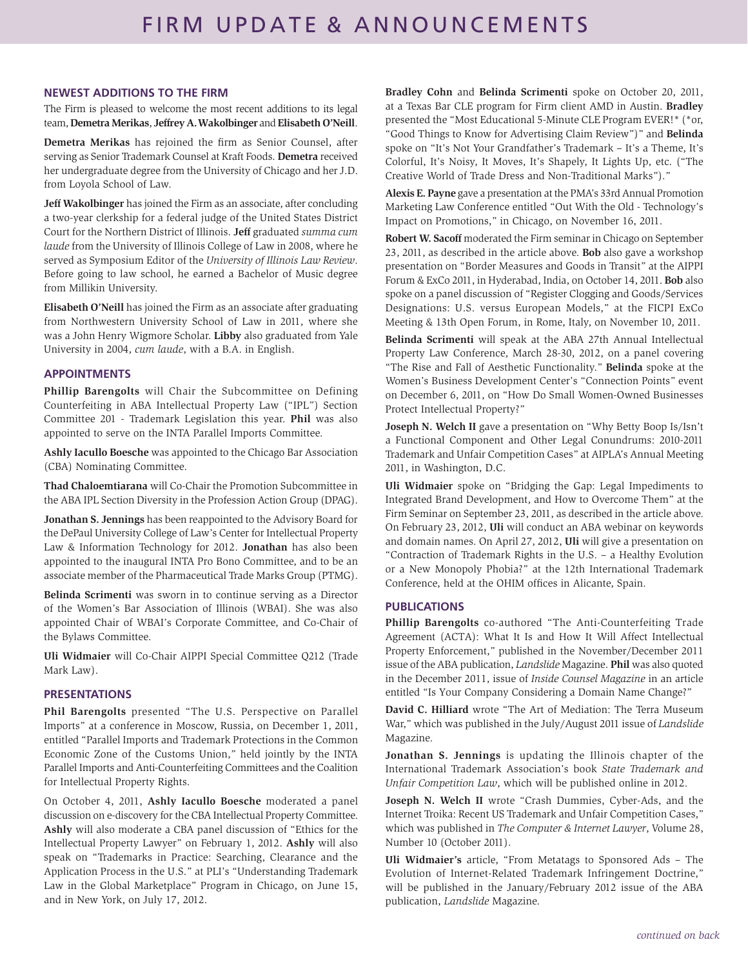#### **NEWEST ADDITIONS TO THE FIRM**

The Firm is pleased to welcome the most recent additions to its legal team, **Demetra Merikas**, **Jeffrey A. Wakolbinger** and **Elisabeth O'Neill**.

**Demetra Merikas** has rejoined the firm as Senior Counsel, after serving as Senior Trademark Counsel at Kraft Foods. **Demetra** received her undergraduate degree from the University of Chicago and her J.D. from Loyola School of Law.

**Jeff Wakolbinger** has joined the Firm as an associate, after concluding a two-year clerkship for a federal judge of the United States District Court for the Northern District of Illinois. **Jeff** graduated *summa cum laude* from the University of Illinois College of Law in 2008, where he served as Symposium Editor of the *University of Illinois Law Review*. Before going to law school, he earned a Bachelor of Music degree from Millikin University.

**Elisabeth O'Neill** has joined the Firm as an associate after graduating from Northwestern University School of Law in 2011, where she was a John Henry Wigmore Scholar. **Libby** also graduated from Yale University in 2004, *cum laude*, with a B.A. in English.

#### **APPOINTMENTS**

**Phillip Barengolts** will Chair the Subcommittee on Defining Counterfeiting in ABA Intellectual Property Law ("IPL") Section Committee 201 - Trademark Legislation this year. **Phil** was also appointed to serve on the INTA Parallel Imports Committee.

**Ashly Iacullo Boesche** was appointed to the Chicago Bar Association (CBA) Nominating Committee.

**Thad Chaloemtiarana** will Co-Chair the Promotion Subcommittee in the ABA IPL Section Diversity in the Profession Action Group (DPAG).

**Jonathan S. Jennings** has been reappointed to the Advisory Board for the DePaul University College of Law's Center for Intellectual Property Law & Information Technology for 2012. **Jonathan** has also been appointed to the inaugural INTA Pro Bono Committee, and to be an associate member of the Pharmaceutical Trade Marks Group (PTMG).

**Belinda Scrimenti** was sworn in to continue serving as a Director of the Women's Bar Association of Illinois (WBAI). She was also appointed Chair of WBAI's Corporate Committee, and Co-Chair of the Bylaws Committee.

**Uli Widmaier** will Co-Chair AIPPI Special Committee Q212 (Trade Mark Law).

#### **PRESENTATIONS**

**Phil Barengolts** presented "The U.S. Perspective on Parallel Imports" at a conference in Moscow, Russia, on December 1, 2011, entitled "Parallel Imports and Trademark Protections in the Common Economic Zone of the Customs Union," held jointly by the INTA Parallel Imports and Anti-Counterfeiting Committees and the Coalition for Intellectual Property Rights.

On October 4, 2011, **Ashly Iacullo Boesche** moderated a panel discussion on e-discovery for the CBA Intellectual Property Committee. **Ashly** will also moderate a CBA panel discussion of "Ethics for the Intellectual Property Lawyer" on February 1, 2012. **Ashly** will also speak on "Trademarks in Practice: Searching, Clearance and the Application Process in the U.S." at PLI's "Understanding Trademark Law in the Global Marketplace" Program in Chicago, on June 15, and in New York, on July 17, 2012.

**Bradley Cohn** and **Belinda Scrimenti** spoke on October 20, 2011, at a Texas Bar CLE program for Firm client AMD in Austin. **Bradley**  presented the "Most Educational 5-Minute CLE Program EVER!\* (\*or, "Good Things to Know for Advertising Claim Review")" and **Belinda** spoke on "It's Not Your Grandfather's Trademark – It's a Theme, It's Colorful, It's Noisy, It Moves, It's Shapely, It Lights Up, etc. ("The Creative World of Trade Dress and Non-Traditional Marks")."

**Alexis E. Payne** gave a presentation at the PMA's 33rd Annual Promotion Marketing Law Conference entitled "Out With the Old - Technology's Impact on Promotions," in Chicago, on November 16, 2011.

**Robert W. Sacoff** moderated the Firm seminar in Chicago on September 23, 2011, as described in the article above. **Bob** also gave a workshop presentation on "Border Measures and Goods in Transit" at the AIPPI Forum & ExCo 2011, in Hyderabad, India, on October 14, 2011. **Bob** also spoke on a panel discussion of "Register Clogging and Goods/Services Designations: U.S. versus European Models," at the FICPI ExCo Meeting & 13th Open Forum, in Rome, Italy, on November 10, 2011.

**Belinda Scrimenti** will speak at the ABA 27th Annual Intellectual Property Law Conference, March 28-30, 2012, on a panel covering "The Rise and Fall of Aesthetic Functionality." **Belinda** spoke at the Women's Business Development Center's "Connection Points" event on December 6, 2011, on "How Do Small Women-Owned Businesses Protect Intellectual Property?"

**Joseph N. Welch II** gave a presentation on "Why Betty Boop Is/Isn't a Functional Component and Other Legal Conundrums: 2010-2011 Trademark and Unfair Competition Cases" at AIPLA's Annual Meeting 2011, in Washington, D.C.

**Uli Widmaier** spoke on "Bridging the Gap: Legal Impediments to Integrated Brand Development, and How to Overcome Them" at the Firm Seminar on September 23, 2011, as described in the article above. On February 23, 2012, **Uli** will conduct an ABA webinar on keywords and domain names. On April 27, 2012, **Uli** will give a presentation on "Contraction of Trademark Rights in the U.S. – a Healthy Evolution or a New Monopoly Phobia?" at the 12th International Trademark Conference, held at the OHIM offices in Alicante, Spain.

#### **PUBLICATIONS**

**Phillip Barengolts** co-authored "The Anti-Counterfeiting Trade Agreement (ACTA): What It Is and How It Will Affect Intellectual Property Enforcement," published in the November/December 2011 issue of the ABA publication, *Landslide* Magazine. **Phil** was also quoted in the December 2011, issue of *Inside Counsel Magazine* in an article entitled "Is Your Company Considering a Domain Name Change?"

**David C. Hilliard** wrote "The Art of Mediation: The Terra Museum War," which was published in the July/August 2011 issue of *Landslide* Magazine.

**Jonathan S. Jennings** is updating the Illinois chapter of the International Trademark Association's book *State Trademark and Unfair Competition Law*, which will be published online in 2012.

**Joseph N. Welch II** wrote "Crash Dummies, Cyber-Ads, and the Internet Troika: Recent US Trademark and Unfair Competition Cases," which was published in *The Computer & Internet Lawyer*, Volume 28, Number 10 (October 2011).

**Uli Widmaier's** article, "From Metatags to Sponsored Ads – The Evolution of Internet-Related Trademark Infringement Doctrine," will be published in the January/February 2012 issue of the ABA publication, *Landslide* Magazine.